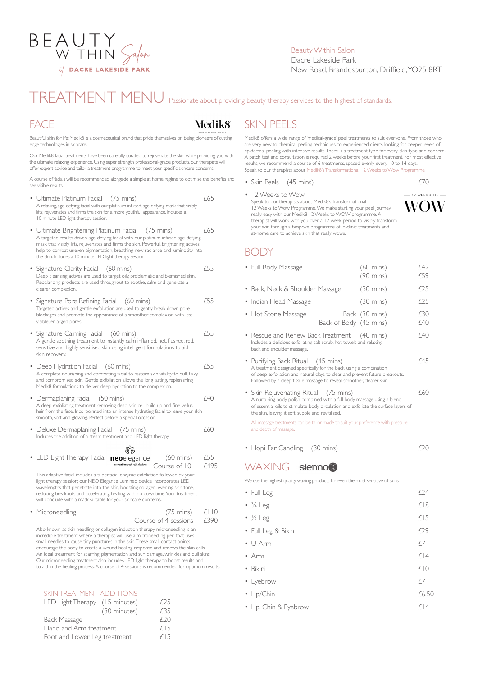

#### Beauty Within Salon Dacre Lakeside Park New Road, Brandesburton, Driffield, YO25 8RT

# TREATMENT MENU Passionate about providing beauty therapy services to the highest of standards.

#### FACE

## Medik8

Beautiful skin for life; Medik8 is a cosmeceutical brand that pride themselves on being pioneers of cutting edge technologies in skincare.

Our Medik8 facial treatments have been carefully curated to rejuvenate the skin while providing you with the ultimate relaxing experience. Using super strength professional-grade products, our therapists will offer expert advice and tailor a treatment programme to meet your specific skincare concerns.

A course of facials will be recommended alongside a simple at home regime to optimise the benefits and see visible results.

| Ultimate Platinum Facial<br>$(75 \text{ mins})$<br>A relaxing, age-defying facial with our platinum infused, age-defying mask that visibly<br>lifts, rejuvenates and firms the skin for a more youthful appearance. Includes a<br>10 minute LED light therapy session.                                                                                                                          | £65              |
|-------------------------------------------------------------------------------------------------------------------------------------------------------------------------------------------------------------------------------------------------------------------------------------------------------------------------------------------------------------------------------------------------|------------------|
| Ultimate Brightening Platinum Facial (75 mins)<br>A targeted results driven age-defying facial with our platinum infused age-defying<br>mask that visibly lifts, rejuvenates and firms the skin. Powerful, brightening actives<br>help to combat uneven pigmentation, breathing new radiance and luminosity into<br>the skin. Includes a 10 minute LED light therapy session.                   | £65              |
| Signature Clarity Facial<br>$(60 \text{ mins})$<br>Deep cleansing actives are used to target oily, problematic and blemished skin.<br>Rebalancing products are used throughout to soothe, calm and generate a<br>clearer complexion.                                                                                                                                                            | f55              |
| Signature Pore Refining Facial (60 mins)<br>Targeted actives and gentle exfoliation are used to gently break down pore<br>blockages and promote the appearance of a smoother complexion with less<br>visible, enlarged pores.                                                                                                                                                                   | f55              |
| Signature Calming Facial (60 mins)<br>A gentle soothing treatment to instantly calm inflamed, hot, flushed, red,<br>sensitive and highly sensitised skin using intelligent formulations to aid<br>skin recovery.                                                                                                                                                                                | f55              |
| Deep Hydration Facial (60 mins)<br>A complete nourishing and comforting facial to restore skin vitality to dull, flaky<br>and compromised skin. Gentle exfoliation allows the long lasting, replenishing<br>Medik8 formulations to deliver deep hydration to the complexion.                                                                                                                    | f55              |
| • Dermaplaning Facial (50 mins)<br>A deep exfoliating treatment removing dead skin cell build up and fine vellus<br>hair from the face. Incorporated into an intense hydrating facial to leave your skin<br>smooth, soft and glowing. Perfect before a special occasion.                                                                                                                        | £40              |
| Deluxe Dermaplaning Facial<br>$(75 \text{ mins})$<br>Includes the addition of a steam treatment and LED light therapy                                                                                                                                                                                                                                                                           | £60              |
|                                                                                                                                                                                                                                                                                                                                                                                                 |                  |
| LED Light Therapy Facial<br>$(60 \text{ mins})$<br>neoelegance<br>innovative aesthetic devices<br>Course of 10                                                                                                                                                                                                                                                                                  | £55<br>£495      |
| This adaptive facial includes a superfacial enzyme exfoliation followed by your<br>light therapy session; our NEO Elegance Lumineo device incorporates LED<br>wavelengths that penetrate into the skin, boosting collagen, evening skin tone,<br>reducing breakouts and accelerating healing with no downtime. Your treatment<br>will conclude with a mask suitable for your skincare concerns. |                  |
| Microneedling<br>$(75 \text{ mins})$<br>Course of 4 sessions                                                                                                                                                                                                                                                                                                                                    | f     ()<br>£390 |
| Also known as skin needling or collagen induction therapy, microneedling is an                                                                                                                                                                                                                                                                                                                  |                  |

incredible treatment where a therapist will use a microneedling pen that uses small needles to cause tiny punctures in the skin. These small contact points encourage the body to create a wound healing response and renews the skin cells. An ideal treatment for scarring, pigmentation and sun damage, wrinkles and dull skins. Our microneedling treatment also includes LED light therapy to boost results and to aid in the healing process. A course of 4 sessions is recommended for optimum results.

| SKIN TREATMENT ADDITIONS       |      |
|--------------------------------|------|
| LED Light Therapy (15 minutes) | £25  |
| (30 minutes)                   | £35  |
| Back Massage                   | f 20 |
| Hand and Arm treatment         | f15  |
| Foot and Lower Leg treatment   | f15  |

Medik8 offers a wide range of 'medical-grade' peel treatments to suit everyone. From those who are very new to chemical peeling techniques, to experienced clients looking for deeper levels of epidermal peeling with intensive results. There is a treatment type for every skin type and concern. A patch test and consultation is required 2 weeks before your first treatment. For most effective results, we recommend a course of 6 treatments, spaced evenly every 10 to 14 days. Speak to our therapists about Medik8's Transformational 12 Weeks to Wow Programme

• Skin Peels (45 mins) £70

SKIN PEELS

 $-$  12 WEEKS TO  $-$ • 12 Weeks to Wow Speak to our therapists about Medik8's Transformational **WOW** 12 Weeks to Wow Programme. We make starting your peel journey really easy with our Medik8 12 Weeks to WOW programme. A therapist will work with you over a 12 week period to visibly transform your skin through a bespoke programme of in-clinic treatments and at-home care to achieve skin that really wows.

#### BODY

| • Full Body Massage                                                                                                                                                                                                                                             | $(60 \text{ mins})$<br>$(90 \text{ mins})$ | f 47<br>£59 |
|-----------------------------------------------------------------------------------------------------------------------------------------------------------------------------------------------------------------------------------------------------------------|--------------------------------------------|-------------|
| • Back, Neck & Shoulder Massage                                                                                                                                                                                                                                 | $(30 \text{ mins})$                        | £25         |
| • Indian Head Massage                                                                                                                                                                                                                                           | $(30 \text{ mins})$                        | £25         |
| • Hot Stone Massage<br>Back of Body (45 mins)                                                                                                                                                                                                                   | Back (30 mins)                             | £30<br>£40  |
| • Rescue and Renew Back Treatment (40 mins)<br>Includes a delicious exfoliating salt scrub, hot towels and relaxing<br>back and shoulder massage.                                                                                                               |                                            | f40         |
| • Purifying Back Ritual (45 mins)<br>A treatment designed specifically for the back, using a combination<br>of deep exfoliation and natural clays to clear and prevent future breakouts.<br>Followed by a deep tissue massage to reveal smoother, clearer skin. |                                            | £45         |
| • Skin Rejuvenating Ritual (75 mins)<br>A nurturing body polish combined with a full body massage using a blend<br>of essential oils to stimulate body circulation and exfoliate the surface layers of<br>the skin, leaving it soft, supple and revitilised.    |                                            | £60         |
| All massage treatments can be tailor made to suit your preference with pressure<br>and depth of massage.                                                                                                                                                        |                                            |             |

• Hopi Ear Candling (30 mins)  $\qquad 20$ 

## WAXING sienna®

We use the highest quality waxing products for even the most sensitive of skins.

| • Full Leg                | £24   |
|---------------------------|-------|
| $\cdot$ $\frac{3}{4}$ Leg | £18   |
| $\cdot$ $\frac{1}{2}$ Leg | £15   |
| • Full Leg & Bikini       | £29   |
| $\bullet$ U-Arm           | £7    |
| $\bullet$ Arm             | £14   |
| • Bikini                  | £10   |
| • Eyebrow                 | f7    |
| • Lip/Chin                | £6.50 |
| • Lip, Chin & Eyebrow     | £14   |